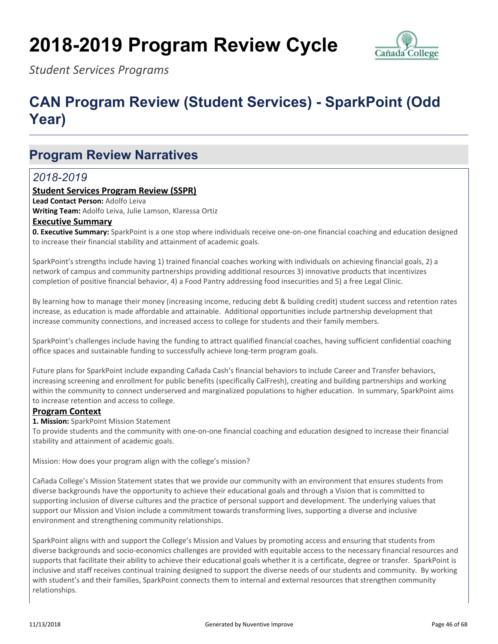# **2018-2019 Program Review Cycle**



*Student Services Programs*

## **CAN Program Review (Student Services) - SparkPoint (Odd Year)**

## **Program Review Narratives**

### *2018-2019*

#### **Student Services Program Review (SSPR)**

**Lead Contact Person: Adolfo Leiva** 

**Writing Team:** Adolfo Leiva, Julie Lamson, Klaressa Ortiz

#### **Executive Summary**

**0. Executive Summary:** SparkPoint is a one stop where individuals receive one-on-one financial coaching and education designed to increase their financial stability and attainment of academic goals.

SparkPoint's strengths include having 1) trained financial coaches working with individuals on achieving financial goals, 2) a network of campus and community partnerships providing additional resources 3) innovative products that incentivizes completion of positive financial behavior, 4) a Food Pantry addressing food insecurities and 5) a free Legal Clinic.

By learning how to manage their money (increasing income, reducing debt & building credit) student success and retention rates increase, as education is made affordable and attainable. Additional opportunities include partnership development that increase community connections, and increased access to college for students and their family members.

SparkPoint's challenges include having the funding to attract qualified financial coaches, having sufficient confidential coaching office spaces and sustainable funding to successfully achieve long-term program goals.

Future plans for SparkPoint include expanding Cañada Cash's financial behaviors to include Career and Transfer behaviors, increasing screening and enrollment for public benefits (specifically CalFresh), creating and building partnerships and working within the community to connect underserved and marginalized populations to higher education. In summary, SparkPoint aims to increase retention and access to college.

#### **Program Context**

**1. Mission:** SparkPoint Mission Statement

To provide students and the community with one-on-one financial coaching and education designed to increase their financial stability and attainment of academic goals.

Mission: How does your program align with the college's mission?

Cañada College's Mission Statement states that we provide our community with an environment that ensures students from diverse backgrounds have the opportunity to achieve their educational goals and through a Vision that is committed to supporting inclusion of diverse cultures and the practice of personal support and development. The underlying values that support our Mission and Vision include a commitment towards transforming lives, supporting a diverse and inclusive environment and strengthening community relationships.

SparkPoint aligns with and support the College's Mission and Values by promoting access and ensuring that students from diverse backgrounds and socio-economics challenges are provided with equitable access to the necessary financial resources and supports that facilitate their ability to achieve their educational goals whether it is a certificate, degree or transfer. SparkPoint is inclusive and staff receives continual training designed to support the diverse needs of our students and community. By working with student's and their families, SparkPoint connects them to internal and external resources that strengthen community relationships.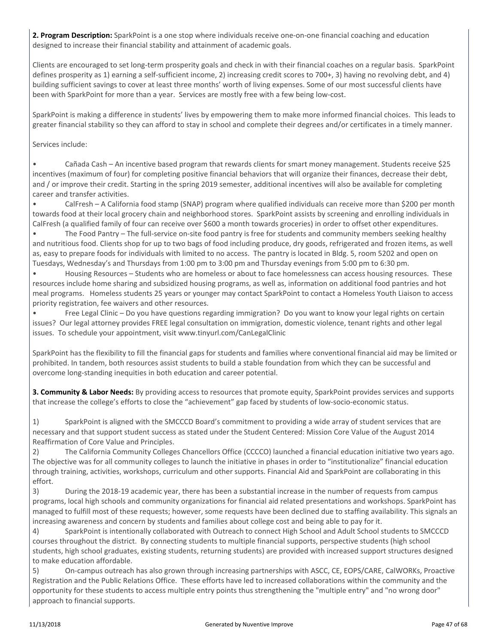**2. Program Description:** SparkPoint is a one stop where individuals receive one-on-one financial coaching and education designed to increase their financial stability and attainment of academic goals.

Clients are encouraged to set long-term prosperity goals and check in with their financial coaches on a regular basis. SparkPoint defines prosperity as 1) earning a self-sufficient income, 2) increasing credit scores to 700+, 3) having no revolving debt, and 4) building sufficient savings to cover at least three months' worth of living expenses. Some of our most successful clients have been with SparkPoint for more than a year. Services are mostly free with a few being low-cost.

SparkPoint is making a difference in students' lives by empowering them to make more informed financial choices. This leads to greater financial stability so they can afford to stay in school and complete their degrees and/or certificates in a timely manner.

Services include:

• Cañada Cash – An incentive based program that rewards clients for smart money management. Students receive \$25 incentives (maximum of four) for completing positive financial behaviors that will organize their finances, decrease their debt, and / or improve their credit. Starting in the spring 2019 semester, additional incentives will also be available for completing career and transfer activities.

• CalFresh – A California food stamp (SNAP) program where qualified individuals can receive more than \$200 per month towards food at their local grocery chain and neighborhood stores. SparkPoint assists by screening and enrolling individuals in CalFresh (a qualified family of four can receive over \$600 a month towards groceries) in order to offset other expenditures.

• The Food Pantry – The full-service on-site food pantry is free for students and community members seeking healthy and nutritious food. Clients shop for up to two bags of food including produce, dry goods, refrigerated and frozen items, as well as, easy to prepare foods for individuals with limited to no access. The pantry is located in Bldg. 5, room 5202 and open on Tuesdays, Wednesday's and Thursdays from 1:00 pm to 3:00 pm and Thursday evenings from 5:00 pm to 6:30 pm.

• Housing Resources – Students who are homeless or about to face homelessness can access housing resources. These resources include home sharing and subsidized housing programs, as well as, information on additional food pantries and hot meal programs. Homeless students 25 years or younger may contact SparkPoint to contact a Homeless Youth Liaison to access priority registration, fee waivers and other resources.

• Free Legal Clinic – Do you have questions regarding immigration? Do you want to know your legal rights on certain issues? Our legal attorney provides FREE legal consultation on immigration, domestic violence, tenant rights and other legal issues. To schedule your appointment, visit www.tinyurl.com/CanLegalClinic

SparkPoint has the flexibility to fill the financial gaps for students and families where conventional financial aid may be limited or prohibited. In tandem, both resources assist students to build a stable foundation from which they can be successful and overcome long-standing inequities in both education and career potential.

**3. Community & Labor Needs:** By providing access to resources that promote equity, SparkPoint provides services and supports that increase the college's efforts to close the "achievement" gap faced by students of low-socio-economic status.

1) SparkPoint is aligned with the SMCCCD Board's commitment to providing a wide array of student services that are necessary and that support student success as stated under the Student Centered: Mission Core Value of the August 2014 Reaffirmation of Core Value and Principles.

2) The California Community Colleges Chancellors Office (CCCCO) launched a financial education initiative two years ago. The objective was for all community colleges to launch the initiative in phases in order to "institutionalize" financial education through training, activities, workshops, curriculum and other supports. Financial Aid and SparkPoint are collaborating in this effort.

3) During the 2018-19 academic year, there has been a substantial increase in the number of requests from campus programs, local high schools and community organizations for financial aid related presentations and workshops. SparkPoint has managed to fulfill most of these requests; however, some requests have been declined due to staffing availability. This signals an increasing awareness and concern by students and families about college cost and being able to pay for it.

4) SparkPoint is intentionally collaborated with Outreach to connect High School and Adult School students to SMCCCD courses throughout the district. By connecting students to multiple financial supports, perspective students (high school students, high school graduates, existing students, returning students) are provided with increased support structures designed to make education affordable.

5) On-campus outreach has also grown through increasing partnerships with ASCC, CE, EOPS/CARE, CalWORKs, Proactive Registration and the Public Relations Office. These efforts have led to increased collaborations within the community and the opportunity for these students to access multiple entry points thus strengthening the "multiple entry" and "no wrong door" approach to financial supports.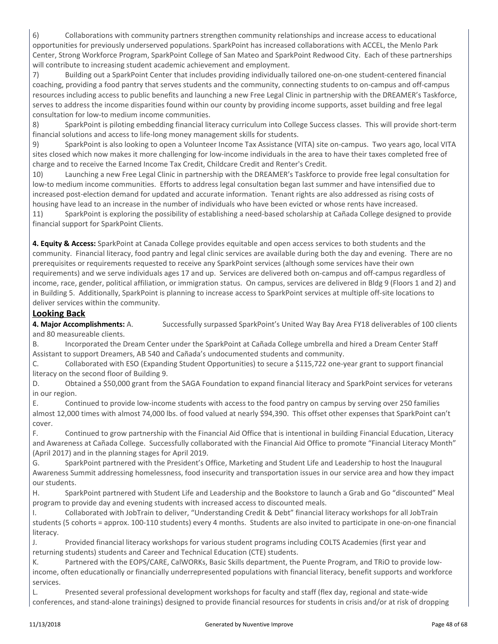6) Collaborations with community partners strengthen community relationships and increase access to educational opportunities for previously underserved populations. SparkPoint has increased collaborations with ACCEL, the Menlo Park Center, Strong Workforce Program, SparkPoint College of San Mateo and SparkPoint Redwood City. Each of these partnerships will contribute to increasing student academic achievement and employment.

7) Building out a SparkPoint Center that includes providing individually tailored one-on-one student-centered financial coaching, providing a food pantry that serves students and the community, connecting students to on-campus and off-campus resources including access to public benefits and launching a new Free Legal Clinic in partnership with the DREAMER's Taskforce, serves to address the income disparities found within our county by providing income supports, asset building and free legal consultation for low-to medium income communities.

8) SparkPoint is piloting embedding financial literacy curriculum into College Success classes. This will provide short-term financial solutions and access to life-long money management skills for students.

9) SparkPoint is also looking to open a Volunteer Income Tax Assistance (VITA) site on-campus. Two years ago, local VITA sites closed which now makes it more challenging for low-income individuals in the area to have their taxes completed free of charge and to receive the Earned Income Tax Credit, Childcare Credit and Renter's Credit.

10) Launching a new Free Legal Clinic in partnership with the DREAMER's Taskforce to provide free legal consultation for low-to medium income communities. Efforts to address legal consultation began last summer and have intensified due to increased post-election demand for updated and accurate information. Tenant rights are also addressed as rising costs of housing have lead to an increase in the number of individuals who have been evicted or whose rents have increased. 11) SparkPoint is exploring the possibility of establishing a need-based scholarship at Cañada College designed to provide financial support for SparkPoint Clients.

**4. Equity & Access:** SparkPoint at Canada College provides equitable and open access services to both students and the community. Financial literacy, food pantry and legal clinic services are available during both the day and evening. There are no prerequisites or requirements requested to receive any SparkPoint services (although some services have their own requirements) and we serve individuals ages 17 and up. Services are delivered both on-campus and off-campus regardless of income, race, gender, political affiliation, or immigration status. On campus, services are delivered in Bldg 9 (Floors 1 and 2) and in Building 5. Additionally, SparkPoint is planning to increase access to SparkPoint services at multiple off-site locations to deliver services within the community.

#### **Looking Back**

**4. Major Accomplishments:** A. Successfully surpassed SparkPoint's United Way Bay Area FY18 deliverables of 100 clients and 80 measureable clients.

B. Incorporated the Dream Center under the SparkPoint at Cañada College umbrella and hired a Dream Center Staff Assistant to support Dreamers, AB 540 and Cañada's undocumented students and community.

C. Collaborated with ESO (Expanding Student Opportunities) to secure a \$115,722 one-year grant to support financial literacy on the second floor of Building 9.

D. Obtained a \$50,000 grant from the SAGA Foundation to expand financial literacy and SparkPoint services for veterans in our region.

E. Continued to provide low-income students with access to the food pantry on campus by serving over 250 families almost 12,000 times with almost 74,000 lbs. of food valued at nearly \$94,390. This offset other expenses that SparkPoint can't cover.

F. Continued to grow partnership with the Financial Aid Office that is intentional in building Financial Education, Literacy and Awareness at Cañada College. Successfully collaborated with the Financial Aid Office to promote "Financial Literacy Month" (April 2017) and in the planning stages for April 2019.

G. SparkPoint partnered with the President's Office, Marketing and Student Life and Leadership to host the Inaugural Awareness Summit addressing homelessness, food insecurity and transportation issues in our service area and how they impact our students.

H. SparkPoint partnered with Student Life and Leadership and the Bookstore to launch a Grab and Go "discounted" Meal program to provide day and evening students with increased access to discounted meals.

I. Collaborated with JobTrain to deliver, "Understanding Credit & Debt" financial literacy workshops for all JobTrain students (5 cohorts = approx. 100-110 students) every 4 months. Students are also invited to participate in one-on-one financial literacy.

J. Provided financial literacy workshops for various student programs including COLTS Academies (first year and returning students) students and Career and Technical Education (CTE) students.

K. Partnered with the EOPS/CARE, CalWORKs, Basic Skills department, the Puente Program, and TRiO to provide lowincome, often educationally or financially underrepresented populations with financial literacy, benefit supports and workforce services.

L. Presented several professional development workshops for faculty and staff (flex day, regional and state-wide conferences, and stand-alone trainings) designed to provide financial resources for students in crisis and/or at risk of dropping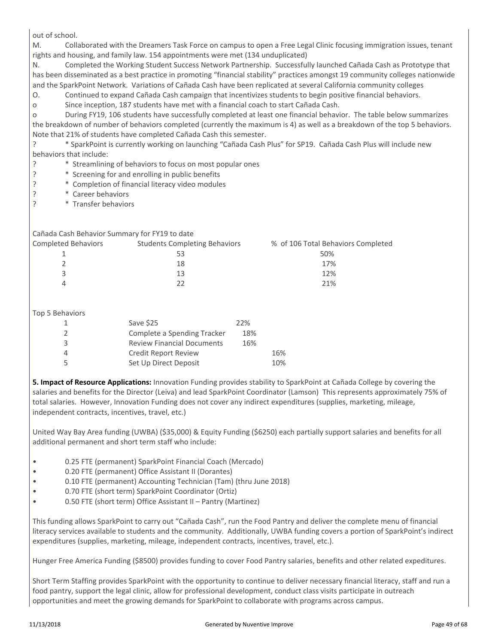out of school.

M. Collaborated with the Dreamers Task Force on campus to open a Free Legal Clinic focusing immigration issues, tenant rights and housing, and family law. 154 appointments were met (134 unduplicated)

N. Completed the Working Student Success Network Partnership. Successfully launched Cañada Cash as Prototype that has been disseminated as a best practice in promoting "financial stability" practices amongst 19 community colleges nationwide and the SparkPoint Network. Variations of Cañada Cash have been replicated at several California community colleges

O. Continued to expand Cañada Cash campaign that incentivizes students to begin positive financial behaviors.

o Since inception, 187 students have met with a financial coach to start Cañada Cash.

o During FY19, 106 students have successfully completed at least one financial behavior. The table below summarizes the breakdown of number of behaviors completed (currently the maximum is 4) as well as a breakdown of the top 5 behaviors. Note that 21% of students have completed Cañada Cash this semester.

? \* SparkPoint is currently working on launching "Cañada Cash Plus" for SP19. Cañada Cash Plus will include new behaviors that include:

- ? \* Streamlining of behaviors to focus on most popular ones
- ? \* Screening for and enrolling in public benefits
- ? \* Completion of financial literacy video modules
- ? \* Career behaviors
- ? \* Transfer behaviors

Cañada Cash Behavior Summary for FY19 to date

| Completed Behaviors | <b>Students Completing Behaviors</b> | % of 106 Total Behaviors Completed |
|---------------------|--------------------------------------|------------------------------------|
|                     | 53                                   | 50%                                |
|                     | 18                                   | 17%                                |
|                     | 13                                   | 12%                                |
|                     |                                      | 21%                                |
|                     |                                      |                                    |

Top 5 Behaviors

| Save \$25                         | 22% |     |
|-----------------------------------|-----|-----|
| Complete a Spending Tracker       | 18% |     |
| <b>Review Financial Documents</b> | 16% |     |
| <b>Credit Report Review</b>       |     | 16% |
| Set Up Direct Deposit             |     | 10% |

**5. Impact of Resource Applications:** Innovation Funding provides stability to SparkPoint at Cañada College by covering the salaries and benefits for the Director (Leiva) and lead SparkPoint Coordinator (Lamson) This represents approximately 75% of total salaries. However, Innovation Funding does not cover any indirect expenditures (supplies, marketing, mileage, independent contracts, incentives, travel, etc.)

United Way Bay Area funding (UWBA) (\$35,000) & Equity Funding (\$6250) each partially support salaries and benefits for all additional permanent and short term staff who include:

- 0.25 FTE (permanent) SparkPoint Financial Coach (Mercado)
- 0.20 FTE (permanent) Office Assistant II (Dorantes)
- 0.10 FTE (permanent) Accounting Technician (Tam) (thru June 2018)
- 0.70 FTE (short term) SparkPoint Coordinator (Ortiz)
- 0.50 FTE (short term) Office Assistant II Pantry (Martinez)

This funding allows SparkPoint to carry out "Cañada Cash", run the Food Pantry and deliver the complete menu of financial literacy services available to students and the community. Additionally, UWBA funding covers a portion of SparkPoint's indirect expenditures (supplies, marketing, mileage, independent contracts, incentives, travel, etc.).

Hunger Free America Funding (\$8500) provides funding to cover Food Pantry salaries, benefits and other related expeditures.

Short Term Staffing provides SparkPoint with the opportunity to continue to deliver necessary financial literacy, staff and run a food pantry, support the legal clinic, allow for professional development, conduct class visits participate in outreach opportunities and meet the growing demands for SparkPoint to collaborate with programs across campus.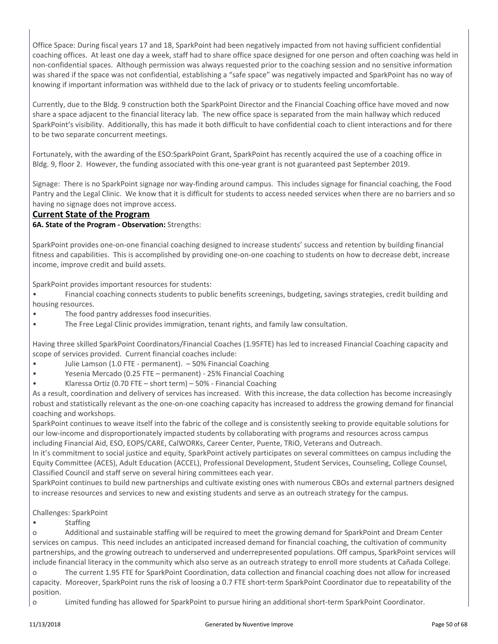Office Space: During fiscal years 17 and 18, SparkPoint had been negatively impacted from not having sufficient confidential coaching offices. At least one day a week, staff had to share office space designed for one person and often coaching was held in non-confidential spaces. Although permission was always requested prior to the coaching session and no sensitive information was shared if the space was not confidential, establishing a "safe space" was negatively impacted and SparkPoint has no way of knowing if important information was withheld due to the lack of privacy or to students feeling uncomfortable.

Currently, due to the Bldg. 9 construction both the SparkPoint Director and the Financial Coaching office have moved and now share a space adjacent to the financial literacy lab. The new office space is separated from the main hallway which reduced SparkPoint's visibility. Additionally, this has made it both difficult to have confidential coach to client interactions and for there to be two separate concurrent meetings.

Fortunately, with the awarding of the ESO:SparkPoint Grant, SparkPoint has recently acquired the use of a coaching office in Bldg. 9, floor 2. However, the funding associated with this one-year grant is not guaranteed past September 2019.

Signage: There is no SparkPoint signage nor way-finding around campus. This includes signage for financial coaching, the Food Pantry and the Legal Clinic. We know that it is difficult for students to access needed services when there are no barriers and so having no signage does not improve access.

#### **Current State of the Program**

#### **6A. State of the Program - Observation:** Strengths:

SparkPoint provides one-on-one financial coaching designed to increase students' success and retention by building financial fitness and capabilities. This is accomplished by providing one-on-one coaching to students on how to decrease debt, increase income, improve credit and build assets.

SparkPoint provides important resources for students:

• Financial coaching connects students to public benefits screenings, budgeting, savings strategies, credit building and housing resources.

- The food pantry addresses food insecurities.
- The Free Legal Clinic provides immigration, tenant rights, and family law consultation.

Having three skilled SparkPoint Coordinators/Financial Coaches (1.95FTE) has led to increased Financial Coaching capacity and scope of services provided. Current financial coaches include:

- Julie Lamson (1.0 FTE permanent). 50% Financial Coaching
- Yesenia Mercado (0.25 FTE permanent) 25% Financial Coaching
- Klaressa Ortiz (0.70 FTE short term) 50% Financial Coaching

As a result, coordination and delivery of services has increased. With this increase, the data collection has become increasingly robust and statistically relevant as the one-on-one coaching capacity has increased to address the growing demand for financial coaching and workshops.

SparkPoint continues to weave itself into the fabric of the college and is consistently seeking to provide equitable solutions for our low-income and disproportionately impacted students by collaborating with programs and resources across campus including Financial Aid, ESO, EOPS/CARE, CalWORKs, Career Center, Puente, TRiO, Veterans and Outreach.

In it's commitment to social justice and equity, SparkPoint actively participates on several committees on campus including the Equity Committee (ACES), Adult Education (ACCEL), Professional Development, Student Services, Counseling, College Counsel, Classified Council and staff serve on several hiring committees each year.

SparkPoint continues to build new partnerships and cultivate existing ones with numerous CBOs and external partners designed to increase resources and services to new and existing students and serve as an outreach strategy for the campus.

#### Challenges: SparkPoint

• Staffing

o Additional and sustainable staffing will be required to meet the growing demand for SparkPoint and Dream Center services on campus. This need includes an anticipated increased demand for financial coaching, the cultivation of community partnerships, and the growing outreach to underserved and underrepresented populations. Off campus, SparkPoint services will include financial literacy in the community which also serve as an outreach strategy to enroll more students at Cañada College.

o The current 1.95 FTE for SparkPoint Coordination, data collection and financial coaching does not allow for increased capacity. Moreover, SparkPoint runs the risk of loosing a 0.7 FTE short-term SparkPoint Coordinator due to repeatability of the position.

o Limited funding has allowed for SparkPoint to pursue hiring an additional short-term SparkPoint Coordinator.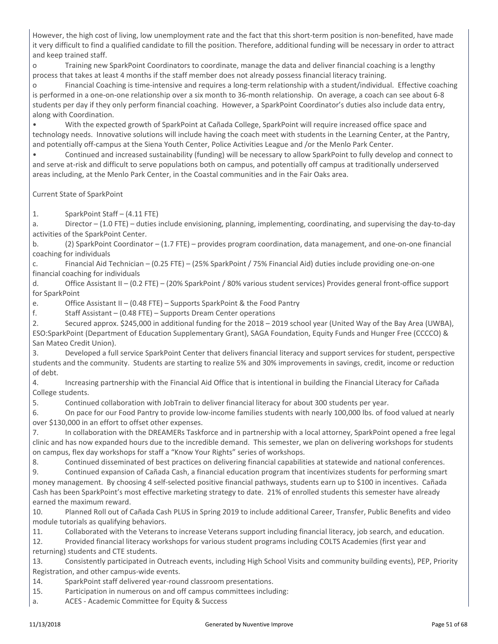However, the high cost of living, low unemployment rate and the fact that this short-term position is non-benefited, have made it very difficult to find a qualified candidate to fill the position. Therefore, additional funding will be necessary in order to attract and keep trained staff.

o Training new SparkPoint Coordinators to coordinate, manage the data and deliver financial coaching is a lengthy process that takes at least 4 months if the staff member does not already possess financial literacy training.

o Financial Coaching is time-intensive and requires a long-term relationship with a student/individual. Effective coaching is performed in a one-on-one relationship over a six month to 36-month relationship. On average, a coach can see about 6-8 students per day if they only perform financial coaching. However, a SparkPoint Coordinator's duties also include data entry, along with Coordination.

• With the expected growth of SparkPoint at Cañada College, SparkPoint will require increased office space and technology needs. Innovative solutions will include having the coach meet with students in the Learning Center, at the Pantry, and potentially off-campus at the Siena Youth Center, Police Activities League and /or the Menlo Park Center.

• Continued and increased sustainability (funding) will be necessary to allow SparkPoint to fully develop and connect to and serve at-risk and difficult to serve populations both on campus, and potentially off campus at traditionally underserved areas including, at the Menlo Park Center, in the Coastal communities and in the Fair Oaks area.

Current State of SparkPoint

1. SparkPoint Staff – (4.11 FTE)

a. Director – (1.0 FTE) – duties include envisioning, planning, implementing, coordinating, and supervising the day-to-day activities of the SparkPoint Center.

b. (2) SparkPoint Coordinator – (1.7 FTE) – provides program coordination, data management, and one-on-one financial coaching for individuals

c. Financial Aid Technician – (0.25 FTE) – (25% SparkPoint / 75% Financial Aid) duties include providing one-on-one financial coaching for individuals

d. Office Assistant II – (0.2 FTE) – (20% SparkPoint / 80% various student services) Provides general front-office support for SparkPoint

e. Office Assistant II – (0.48 FTE) – Supports SparkPoint & the Food Pantry

f. Staff Assistant – (0.48 FTE) – Supports Dream Center operations

2. Secured approx. \$245,000 in additional funding for the 2018 – 2019 school year (United Way of the Bay Area (UWBA), ESO:SparkPoint (Department of Education Supplementary Grant), SAGA Foundation, Equity Funds and Hunger Free (CCCCO) & San Mateo Credit Union).

3. Developed a full service SparkPoint Center that delivers financial literacy and support services for student, perspective students and the community. Students are starting to realize 5% and 30% improvements in savings, credit, income or reduction of debt.

4. Increasing partnership with the Financial Aid Office that is intentional in building the Financial Literacy for Cañada College students.

5. Continued collaboration with JobTrain to deliver financial literacy for about 300 students per year.

6. On pace for our Food Pantry to provide low-income families students with nearly 100,000 lbs. of food valued at nearly over \$130,000 in an effort to offset other expenses.

7. In collaboration with the DREAMERs Taskforce and in partnership with a local attorney, SparkPoint opened a free legal clinic and has now expanded hours due to the incredible demand. This semester, we plan on delivering workshops for students on campus, flex day workshops for staff a "Know Your Rights" series of workshops.

8. Continued disseminated of best practices on delivering financial capabilities at statewide and national conferences.

9. Continued expansion of Cañada Cash, a financial education program that incentivizes students for performing smart money management. By choosing 4 self-selected positive financial pathways, students earn up to \$100 in incentives. Cañada Cash has been SparkPoint's most effective marketing strategy to date. 21% of enrolled students this semester have already earned the maximum reward.

10. Planned Roll out of Cañada Cash PLUS in Spring 2019 to include additional Career, Transfer, Public Benefits and video module tutorials as qualifying behaviors.

11. Collaborated with the Veterans to increase Veterans support including financial literacy, job search, and education.

12. Provided financial literacy workshops for various student programs including COLTS Academies (first year and returning) students and CTE students.

13. Consistently participated in Outreach events, including High School Visits and community building events), PEP, Priority Registration, and other campus-wide events.

14. SparkPoint staff delivered year-round classroom presentations.

15. Participation in numerous on and off campus committees including:

a. ACES - Academic Committee for Equity & Success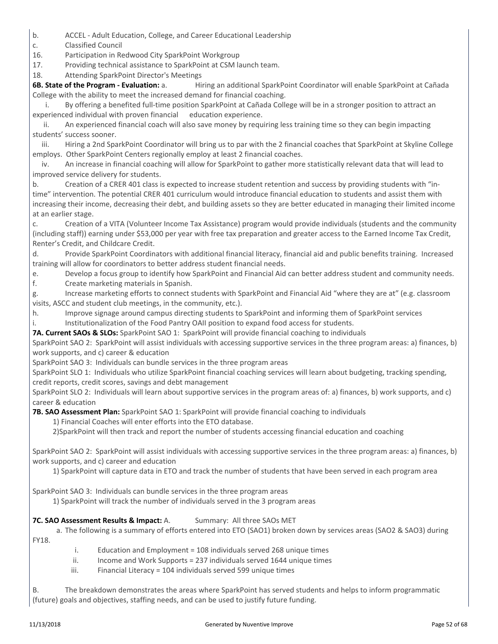- b. ACCEL Adult Education, College, and Career Educational Leadership
- c. Classified Council

16. Participation in Redwood City SparkPoint Workgroup

17. Providing technical assistance to SparkPoint at CSM launch team.

18. Attending SparkPoint Director's Meetings

**6B. State of the Program - Evaluation:** a. Hiring an additional SparkPoint Coordinator will enable SparkPoint at Cañada College with the ability to meet the increased demand for financial coaching.

By offering a benefited full-time position SparkPoint at Cañada College will be in a stronger position to attract an experienced individual with proven financial education experience.

 ii. An experienced financial coach will also save money by requiring less training time so they can begin impacting students' success sooner.

 iii. Hiring a 2nd SparkPoint Coordinator will bring us to par with the 2 financial coaches that SparkPoint at Skyline College employs. Other SparkPoint Centers regionally employ at least 2 financial coaches.

 iv. An increase in financial coaching will allow for SparkPoint to gather more statistically relevant data that will lead to improved service delivery for students.

b. Creation of a CRER 401 class is expected to increase student retention and success by providing students with "intime" intervention. The potential CRER 401 curriculum would introduce financial education to students and assist them with increasing their income, decreasing their debt, and building assets so they are better educated in managing their limited income at an earlier stage.

c. Creation of a VITA (Volunteer Income Tax Assistance) program would provide individuals (students and the community (including staff)) earning under \$53,000 per year with free tax preparation and greater access to the Earned Income Tax Credit, Renter's Credit, and Childcare Credit.

d. Provide SparkPoint Coordinators with additional financial literacy, financial aid and public benefits training. Increased training will allow for coordinators to better address student financial needs.

e. Develop a focus group to identify how SparkPoint and Financial Aid can better address student and community needs.

f. Create marketing materials in Spanish.

g. Increase marketing efforts to connect students with SparkPoint and Financial Aid "where they are at" (e.g. classroom visits, ASCC and student club meetings, in the community, etc.).

h. Improve signage around campus directing students to SparkPoint and informing them of SparkPoint services i. Institutionalization of the Food Pantry OAII position to expand food access for students.

**7A. Current SAOs & SLOs:** SparkPoint SAO 1: SparkPoint will provide financial coaching to individuals

SparkPoint SAO 2: SparkPoint will assist individuals with accessing supportive services in the three program areas: a) finances, b) work supports, and c) career & education

SparkPoint SAO 3: Individuals can bundle services in the three program areas

SparkPoint SLO 1: Individuals who utilize SparkPoint financial coaching services will learn about budgeting, tracking spending, credit reports, credit scores, savings and debt management

SparkPoint SLO 2: Individuals will learn about supportive services in the program areas of: a) finances, b) work supports, and c) career & education

**7B. SAO Assessment Plan:** SparkPoint SAO 1: SparkPoint will provide financial coaching to individuals

1) Financial Coaches will enter efforts into the ETO database.

2)SparkPoint will then track and report the number of students accessing financial education and coaching

SparkPoint SAO 2: SparkPoint will assist individuals with accessing supportive services in the three program areas: a) finances, b) work supports, and c) career and education

1) SparkPoint will capture data in ETO and track the number of students that have been served in each program area

SparkPoint SAO 3: Individuals can bundle services in the three program areas

1) SparkPoint will track the number of individuals served in the 3 program areas

#### **7C. SAO Assessment Results & Impact: A. Summary: All three SAOs MET**

 a. The following is a summary of efforts entered into ETO (SAO1) broken down by services areas (SAO2 & SAO3) during FY18.

- i. Education and Employment = 108 individuals served 268 unique times
- $ii.$  Income and Work Supports = 237 individuals served 1644 unique times
- iii. Financial Literacy = 104 individuals served 599 unique times

B. The breakdown demonstrates the areas where SparkPoint has served students and helps to inform programmatic (future) goals and objectives, staffing needs, and can be used to justify future funding.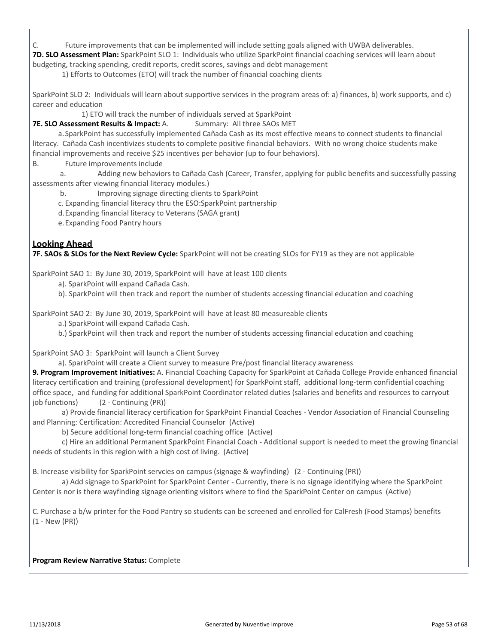C. Future improvements that can be implemented will include setting goals aligned with UWBA deliverables.

**7D. SLO Assessment Plan:** SparkPoint SLO 1: Individuals who utilize SparkPoint financial coaching services will learn about budgeting, tracking spending, credit reports, credit scores, savings and debt management

1) Efforts to Outcomes (ETO) will track the number of financial coaching clients

SparkPoint SLO 2: Individuals will learn about supportive services in the program areas of: a) finances, b) work supports, and c) career and education

1) ETO will track the number of individuals served at SparkPoint

**7E. SLO Assessment Results & Impact:** A. Summary: All three SAOs MET

 a.SparkPoint has successfully implemented Cañada Cash as its most effective means to connect students to financial literacy. Cañada Cash incentivizes students to complete positive financial behaviors. With no wrong choice students make financial improvements and receive \$25 incentives per behavior (up to four behaviors).

B. Future improvements include

 a. Adding new behaviors to Cañada Cash (Career, Transfer, applying for public benefits and successfully passing assessments after viewing financial literacy modules.)

b. Improving signage directing clients to SparkPoint

c. Expanding financial literacy thru the ESO:SparkPoint partnership

d.Expanding financial literacy to Veterans (SAGA grant)

e.Expanding Food Pantry hours

#### **Looking Ahead**

**7F. SAOs & SLOs for the Next Review Cycle:** SparkPoint will not be creating SLOs for FY19 as they are not applicable

SparkPoint SAO 1: By June 30, 2019, SparkPoint will have at least 100 clients

a). SparkPoint will expand Cañada Cash.

b). SparkPoint will then track and report the number of students accessing financial education and coaching

SparkPoint SAO 2: By June 30, 2019, SparkPoint will have at least 80 measureable clients

a.) SparkPoint will expand Cañada Cash.

b.) SparkPoint will then track and report the number of students accessing financial education and coaching

SparkPoint SAO 3: SparkPoint will launch a Client Survey

a). SparkPoint will create a Client survey to measure Pre/post financial literacy awareness

**9. Program Improvement Initiatives:** A. Financial Coaching Capacity for SparkPoint at Cañada College Provide enhanced financial literacy certification and training (professional development) for SparkPoint staff, additional long-term confidential coaching office space, and funding for additional SparkPoint Coordinator related duties (salaries and benefits and resources to carryout job functions) (2 - Continuing (PR))

 a) Provide financial literacy certification for SparkPoint Financial Coaches - Vendor Association of Financial Counseling and Planning: Certification: Accredited Financial Counselor (Active)

b) Secure additional long-term financial coaching office (Active)

 c) Hire an additional Permanent SparkPoint Financial Coach - Additional support is needed to meet the growing financial needs of students in this region with a high cost of living. (Active)

B. Increase visibility for SparkPoint servcies on campus (signage & wayfinding) (2 - Continuing (PR))

 a) Add signage to SparkPoint for SparkPoint Center - Currently, there is no signage identifying where the SparkPoint Center is nor is there wayfinding signage orienting visitors where to find the SparkPoint Center on campus (Active)

C. Purchase a b/w printer for the Food Pantry so students can be screened and enrolled for CalFresh (Food Stamps) benefits (1 - New (PR))

**Program Review Narrative Status:** Complete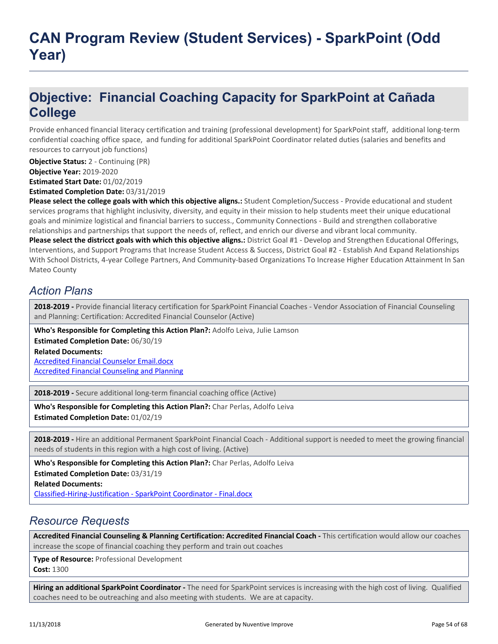## **Objective: Financial Coaching Capacity for SparkPoint at Cañada College**

Provide enhanced financial literacy certification and training (professional development) for SparkPoint staff, additional long-term confidential coaching office space, and funding for additional SparkPoint Coordinator related duties (salaries and benefits and resources to carryout job functions)

**Objective Status:** 2 - Continuing (PR)

**Objective Year:** 2019-2020

**Estimated Start Date:** 01/02/2019

**Estimated Completion Date:** 03/31/2019

**Please select the college goals with which this objective aligns.:** Student Completion/Success - Provide educational and student services programs that highlight inclusivity, diversity, and equity in their mission to help students meet their unique educational goals and minimize logistical and financial barriers to success., Community Connections - Build and strengthen collaborative relationships and partnerships that support the needs of, reflect, and enrich our diverse and vibrant local community.

**Please select the districct goals with which this objective aligns.:** District Goal #1 - Develop and Strengthen Educational Offerings, Interventions, and Support Programs that Increase Student Access & Success, District Goal #2 - Establish And Expand Relationships With School Districts, 4-year College Partners, And Community-based Organizations To Increase Higher Education Attainment In San Mateo County

### *Action Plans*

**2018-2019 -** Provide financial literacy certification for SparkPoint Financial Coaches - Vendor Association of Financial Counseling and Planning: Certification: Accredited Financial Counselor (Active)

**Who's Responsible for Completing this Action Plan?:** Adolfo Leiva, Julie Lamson

**Related Documents: Estimated Completion Date:** 06/30/19

[Accredited Financial Counselor Email.docx](https://sanmateo.tracdat.com:443/tracdat/viewDocument?y=eOJadZbTJS9w) [Accredited Financial Counseling and Planning](https://sanmateo.tracdat.com:443/tracdat/viewDocument?y=YlRawhiZYdas)

**2018-2019 -** Secure additional long-term financial coaching office (Active)

**Who's Responsible for Completing this Action Plan?:** Char Perlas, Adolfo Leiva **Estimated Completion Date:** 01/02/19

**2018-2019 -** Hire an additional Permanent SparkPoint Financial Coach - Additional support is needed to meet the growing financial needs of students in this region with a high cost of living. (Active)

**Related Documents: Who's Responsible for Completing this Action Plan?:** Char Perlas, Adolfo Leiva **Estimated Completion Date:** 03/31/19

[Classified-Hiring-Justification - SparkPoint Coordinator - Final.docx](https://sanmateo.tracdat.com:443/tracdat/viewDocument?y=EH4Meyg9bkhq)

### *Resource Requests*

Accredited Financial Counseling & Planning Certification: Accredited Financial Coach - This certification would allow our coaches increase the scope of financial coaching they perform and train out coaches

**Type of Resource:** Professional Development **Cost:** 1300

**Hiring an additional SparkPoint Coordinator -** The need for SparkPoint services is increasing with the high cost of living. Qualified coaches need to be outreaching and also meeting with students. We are at capacity.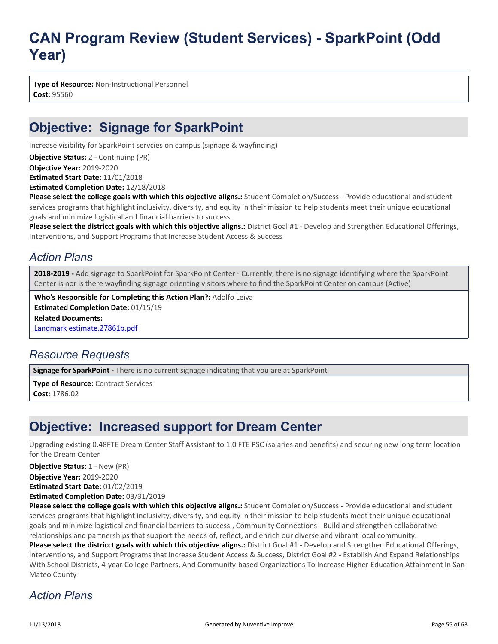**Type of Resource:** Non-Instructional Personnel **Cost:** 95560

## **Objective: Signage for SparkPoint**

Increase visibility for SparkPoint servcies on campus (signage & wayfinding)

**Objective Status:** 2 - Continuing (PR)

**Objective Year:** 2019-2020

**Estimated Start Date:** 11/01/2018

**Estimated Completion Date:** 12/18/2018

**Please select the college goals with which this objective aligns.:** Student Completion/Success - Provide educational and student services programs that highlight inclusivity, diversity, and equity in their mission to help students meet their unique educational goals and minimize logistical and financial barriers to success.

Please select the districct goals with which this objective aligns.: District Goal #1 - Develop and Strengthen Educational Offerings, Interventions, and Support Programs that Increase Student Access & Success

### *Action Plans*

**2018-2019 -** Add signage to SparkPoint for SparkPoint Center - Currently, there is no signage identifying where the SparkPoint Center is nor is there wayfinding signage orienting visitors where to find the SparkPoint Center on campus (Active)

**Related Documents:** [Landmark estimate.27861b.pdf](https://sanmateo.tracdat.com:443/tracdat/viewDocument?y=UM5g4ygvFHcF) **Who's Responsible for Completing this Action Plan?:** Adolfo Leiva **Estimated Completion Date:** 01/15/19

### *Resource Requests*

**Signage for SparkPoint -** There is no current signage indicating that you are at SparkPoint

**Type of Resource:** Contract Services **Cost:** 1786.02

## **Objective: Increased support for Dream Center**

Upgrading existing 0.48FTE Dream Center Staff Assistant to 1.0 FTE PSC (salaries and benefits) and securing new long term location for the Dream Center

**Objective Status:** 1 - New (PR)

**Objective Year:** 2019-2020

**Estimated Start Date:** 01/02/2019

**Estimated Completion Date:** 03/31/2019

**Please select the college goals with which this objective aligns.:** Student Completion/Success - Provide educational and student services programs that highlight inclusivity, diversity, and equity in their mission to help students meet their unique educational goals and minimize logistical and financial barriers to success., Community Connections - Build and strengthen collaborative relationships and partnerships that support the needs of, reflect, and enrich our diverse and vibrant local community.

**Please select the districct goals with which this objective aligns.:** District Goal #1 - Develop and Strengthen Educational Offerings, Interventions, and Support Programs that Increase Student Access & Success, District Goal #2 - Establish And Expand Relationships With School Districts, 4-year College Partners, And Community-based Organizations To Increase Higher Education Attainment In San Mateo County

### *Action Plans*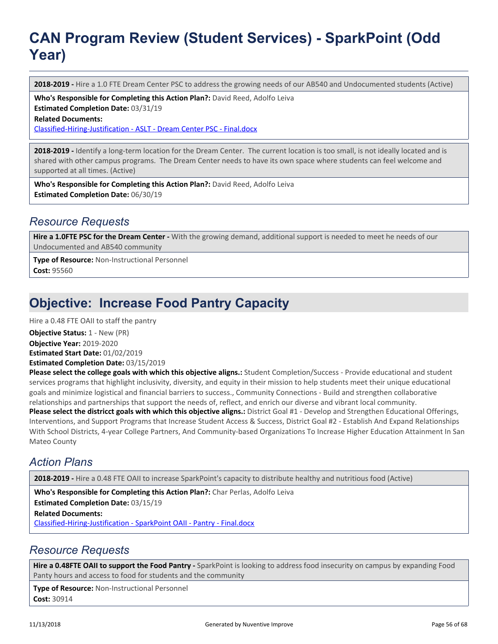**2018-2019 -** Hire a 1.0 FTE Dream Center PSC to address the growing needs of our AB540 and Undocumented students (Active)

**Who's Responsible for Completing this Action Plan?:** David Reed, Adolfo Leiva

**Estimated Completion Date:** 03/31/19

**Related Documents:**

[Classified-Hiring-Justification - ASLT - Dream Center PSC - Final.docx](https://sanmateo.tracdat.com:443/tracdat/viewDocument?y=V4dqUwZ9VIEZ)

**2018-2019 -** Identify a long-term location for the Dream Center. The current location is too small, is not ideally located and is shared with other campus programs. The Dream Center needs to have its own space where students can feel welcome and supported at all times. (Active)

**Who's Responsible for Completing this Action Plan?:** David Reed, Adolfo Leiva **Estimated Completion Date:** 06/30/19

#### *Resource Requests*

**Hire a 1.0FTE PSC for the Dream Center -** With the growing demand, additional support is needed to meet he needs of our Undocumented and AB540 community

**Type of Resource:** Non-Instructional Personnel **Cost:** 95560

## **Objective: Increase Food Pantry Capacity**

Hire a 0.48 FTE OAII to staff the pantry

**Objective Status: 1 - New (PR)** 

**Objective Year:** 2019-2020

**Estimated Start Date:** 01/02/2019

**Estimated Completion Date:** 03/15/2019

**Please select the college goals with which this objective aligns.:** Student Completion/Success - Provide educational and student services programs that highlight inclusivity, diversity, and equity in their mission to help students meet their unique educational goals and minimize logistical and financial barriers to success., Community Connections - Build and strengthen collaborative relationships and partnerships that support the needs of, reflect, and enrich our diverse and vibrant local community. **Please select the districct goals with which this objective aligns.:** District Goal #1 - Develop and Strengthen Educational Offerings, Interventions, and Support Programs that Increase Student Access & Success, District Goal #2 - Establish And Expand Relationships With School Districts, 4-year College Partners, And Community-based Organizations To Increase Higher Education Attainment In San Mateo County

### *Action Plans*

**2018-2019 -** Hire a 0.48 FTE OAII to increase SparkPoint's capacity to distribute healthy and nutritious food (Active)

**Related Documents:** [Classified-Hiring-Justification - SparkPoint OAII - Pantry - Final.docx](https://sanmateo.tracdat.com:443/tracdat/viewDocument?y=beb7PwGNBCmg) **Who's Responsible for Completing this Action Plan?:** Char Perlas, Adolfo Leiva **Estimated Completion Date:** 03/15/19

### *Resource Requests*

**Hire a 0.48FTE OAII to support the Food Pantry -** SparkPoint is looking to address food insecurity on campus by expanding Food Panty hours and access to food for students and the community

**Type of Resource:** Non-Instructional Personnel **Cost:** 30914